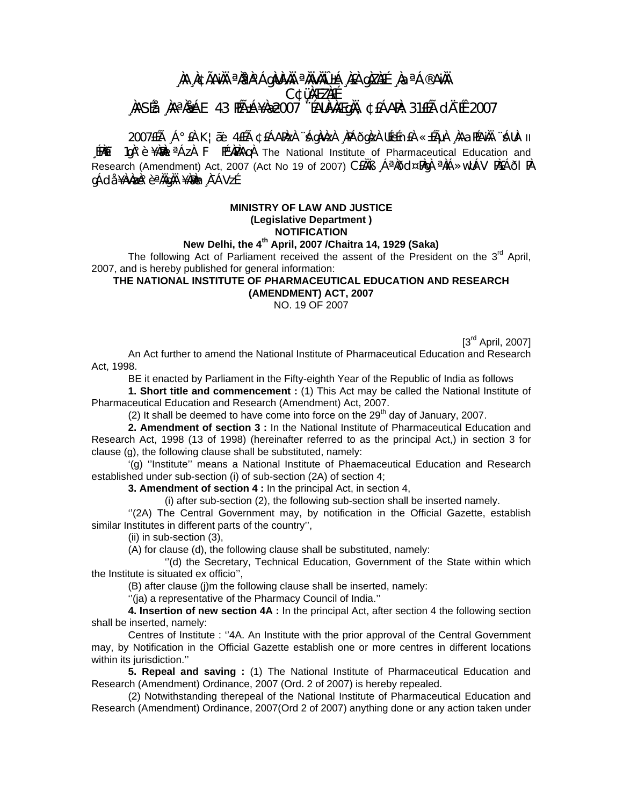## **¸ÀA¸À¢ÃAiÀÄ ªÀåªÀºÁgÀUÀ¼ÀÄ ªÀÄvÀÄÛ ±Á¸À£À gÀZÀ£É ¸ÀaªÁ®AiÀÄ C¢ü¸ÀÆZÀ£É ¸ÀASÉå: ¸ÀAªÀå±ÁE 43 PÉñÁ¥Àæ 2007 ¨ÉAUÀ¼ÀÆgÀÄ, ¢£ÁAPÀ: 31£Éà dįÉÊ 2007**

2007£Éà ¸Á°£À K¦æï 4£Éà ¢£ÁAPÀzÀ ¨sÁgÀvÀzÀ ¸ÀPÁðgÀzÀ UÉeÉn£À «±ÉõÀ ¸ÀAaPÉAÌÄÄ ¨sÁUÀ- II  $\frac{1}{2}$   $\frac{1}{2}$   $\frac{1}{2}$   $\frac{1}{2}$   $\frac{1}{2}$   $\frac{1}{2}$   $\frac{1}{2}$   $\frac{1}{2}$   $\frac{1}{2}$   $\frac{1}{2}$   $\frac{1}{2}$   $\frac{1}{2}$   $\frac{1}{2}$   $\frac{1}{2}$   $\frac{1}{2}$   $\frac{1}{2}$   $\frac{1}{2}$   $\frac{1}{2}$   $\frac{1}{2}$   $\frac{1}{2}$   $\frac{1}{2}$   $\frac{1}{2}$  Research (Amendment) Act, 2007 (Act No 19 of 2007) CEAAB , Á<sup>a</sup> $\lambda$ ðd¤PAq <sup>a</sup> alíÁ»wUÁV PAEÁðl PA gÁdå ¥ÀvÀæÀ°è ªÀÄgÀÄ ¥ÀæÀn À¯ÁVzÉ.

## **MINISTRY OF LAW AND JUSTICE (Legislative Department ) NOTIFICATION**

## **New Delhi, the 4th April, 2007 /Chaitra 14, 1929 (Saka)**

The following Act of Parliament received the assent of the President on the  $3<sup>rd</sup>$  April, 2007, and is hereby published for general information:

## **THE NATIONAL INSTITUTE OF** *P***HARMACEUTICAL EDUCATION AND RESEARCH (AMENDMENT) ACT, 2007**

NO. 19 OF 2007

[3<sup>rd</sup> April, 2007]

 An Act further to amend the National Institute of Pharmaceutical Education and Research Act, 1998.

BE it enacted by Parliament in the Fifty-eighth Year of the Republic of India as follows

**1. Short title and commencement :** (1) This Act may be called the National Institute of Pharmaceutical Education and Research (Amendment) Act, 2007.

(2) It shall be deemed to have come into force on the  $29<sup>th</sup>$  day of January, 2007.

**2. Amendment of section 3 :** In the National Institute of Pharmaceutical Education and Research Act, 1998 (13 of 1998) (hereinafter referred to as the principal Act,) in section 3 for clause (g), the following clause shall be substituted, namely:

 '(g) ''Institute'' means a National Institute of Phaemaceutical Education and Research established under sub-section (i) of sub-section (2A) of section 4;

**3. Amendment of section 4 :** In the principal Act, in section 4,

(i) after sub-section (2), the following sub-section shall be inserted namely.

 ''(2A) The Central Government may, by notification in the Official Gazette, establish similar Institutes in different parts of the country'',

(ii) in sub-section (3),

(A) for clause (d), the following clause shall be substituted, namely:

 ''(d) the Secretary, Technical Education, Government of the State within which the Institute is situated ex officio'',

(B) after clause (j)m the following clause shall be inserted, namely:

''(ja) a representative of the Pharmacy Council of India.''

**4. Insertion of new section 4A :** In the principal Act, after section 4 the following section shall be inserted, namely:

 Centres of Institute : ''4A. An Institute with the prior approval of the Central Government may, by Notification in the Official Gazette establish one or more centres in different locations within its jurisdiction.''

**5. Repeal and saving :** (1) The National Institute of Pharmaceutical Education and Research (Amendment) Ordinance, 2007 (Ord. 2 of 2007) is hereby repealed.

 (2) Notwithstanding therepeal of the National Institute of Pharmaceutical Education and Research (Amendment) Ordinance, 2007(Ord 2 of 2007) anything done or any action taken under